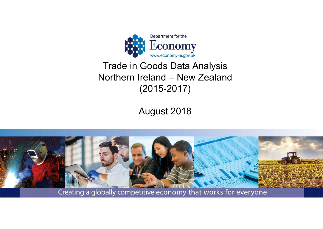

### Trade in Goods Data Analysis Northern Ireland – New Zealand (2015-2017)

August 2018



Creating a globally competitive economy that works for everyone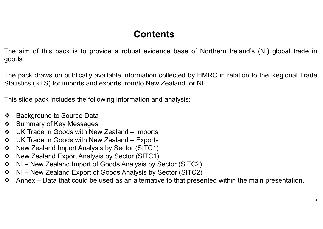### **Contents**

The aim of this pack is to provide a robust evidence base of Northern Ireland's (NI) global trade in goods.

The pack draws on publically available information collected by HMRC in relation to the Regional Trade Statistics (RTS) for imports and exports from/to New Zealand for NI.

This slide pack includes the following information and analysis:

- $\mathbf{A}$ Background to Source Data
- $\frac{1}{2}$ Summary of Key Messages
- $\frac{1}{2}$ UK Trade in Goods with New Zealand – Imports
- $\frac{1}{2}$ UK Trade in Goods with New Zealand – Exports
- $\frac{1}{2}$ New Zealand Import Analysis by Sector (SITC1)
- $\frac{1}{2}$ New Zealand Export Analysis by Sector (SITC1)
- $\frac{1}{2}$ NI – New Zealand Import of Goods Analysis by Sector (SITC2)
- $\frac{1}{2}$ NI – New Zealand Export of Goods Analysis by Sector (SITC2)
- $\clubsuit$  Annex Data that could be used as an alternative to that presented within the main presentation.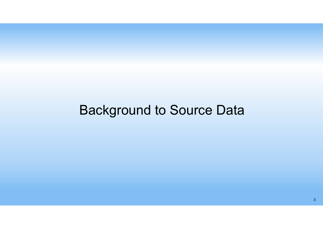# Background to Source Data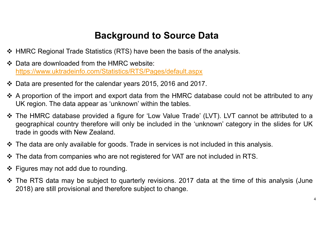### **Background to Source Data**

- ❖ HMRC Regional Trade Statistics (RTS) have been the basis of the analysis.
- ❖ Data are downloaded from the HMRC website: https://www.uktradeinfo.com/Statistics/RTS/Pages/default.aspx
- Data are presented for the calendar years 2015, 2016 and 2017.
- $\clubsuit$  A proportion of the import and export data from the HMRC database could not be attributed to any UK region. The data appear as 'unknown' within the tables.
- The HMRC database provided a figure for 'Low Value Trade' (LVT). LVT cannot be attributed to a geographical country therefore will only be included in the 'unknown' category in the slides for UK trade in goods with New Zealand.
- The data are only available for goods. Trade in services is not included in this analysis.
- $\clubsuit$  The data from companies who are not registered for VAT are not included in RTS.
- $\div$  Figures may not add due to rounding.
- The RTS data may be subject to quarterly revisions. 2017 data at the time of this analysis (June 2018) are still provisional and therefore subject to change.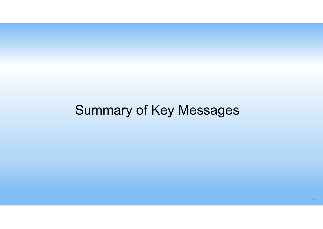# Summary of Key Messages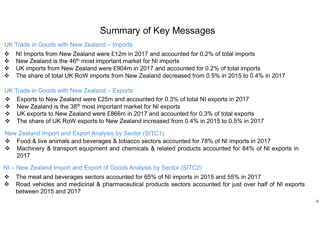### Summary of Key Messages

#### UK Trade in Goods with New Zealand – Imports

- $\bullet^{\bullet}_{\bullet} \bullet$ NI Imports from New Zealand were £12m in 2017 and accounted for 0.2% of total imports
- $\frac{1}{2}$ New Zealand is the 46<sup>th</sup> most important market for NI imports
- $\frac{1}{2}$ UK imports from New Zealand were £904m in 2017 and accounted for 0.2% of total imports
- $\frac{1}{2}$ The share of total UK RoW imports from New Zealand decreased from 0.5% in 2015 to 0.4% in 2017

#### UK Trade in Goods with New Zealand – Exports

- $\frac{1}{2}$ Exports to New Zealand were £25m and accounted for 0.3% of total NI exports in 2017
- $\frac{1}{2}$ New Zealand is the 38th most important market for NI exports
- $\mathbf{A}$ UK exports to New Zealand were £866m in 2017 and accounted for 0.3% of total exports
- $\frac{1}{2}$ The share of UK RoW exports to New Zealand increased from 0.4% in 2015 to 0.5% in 2017

#### New Zealand Import and Export Analysis by Sector (SITC1)

- $\mathbf{v}$ Food & live animals and beverages & tobacco sectors accounted for 78% of NI imports in 2017
- $\frac{1}{2}$  Machinery & transport equipment and chemicals & related products accounted for 84% of NI exports in 2017

#### NI – New Zealand Import and Export of Goods Analysis by Sector (SITC2)

- $\frac{1}{2}$ The meat and beverages sectors accounted for 65% of NI imports in 2015 and 55% in 2017
- $\bullet^{\bullet}_{\bullet} \bullet$  Road vehicles and medicinal & pharmaceutical products sectors accounted for just over half of NI exports between 2015 and 2017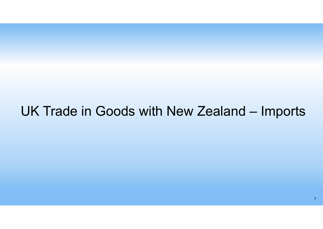## UK Trade in Goods with New Zealand – Imports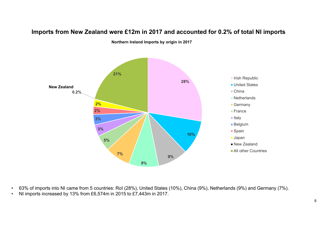

#### **Imports from New Zealand were £12m in 2017 and accounted for 0.2% of total NI imports**

**Northern Ireland Imports by origin in 2017** 

- 63% of imports into NI came from 5 countries: RoI (28%), United States (10%), China (9%), Netherlands (9%) and Germany (7%).
- NI imports increased by 13% from £6,574m in 2015 to £7,443m in 2017.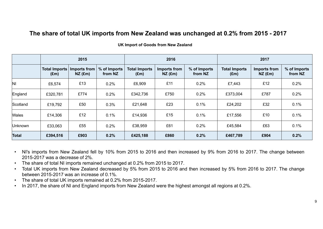#### **The share of total UK imports from New Zealand was unchanged at 0.2% from 2015 - 2017**

|              |                                       | 2015                      |                         |                                       | 2016                      |                         |                                       | 2017                      |                         |
|--------------|---------------------------------------|---------------------------|-------------------------|---------------------------------------|---------------------------|-------------------------|---------------------------------------|---------------------------|-------------------------|
|              | <b>Total Imports</b><br>$(\text{Em})$ | Imports from<br>$NZ$ (£m) | % of Imports<br>from NZ | <b>Total Imports</b><br>$(\text{Em})$ | Imports from<br>$NZ$ (£m) | % of Imports<br>from NZ | <b>Total Imports</b><br>$(\text{Em})$ | Imports from<br>$NZ$ (£m) | % of Imports<br>from NZ |
| ΙNΙ          | £6,574                                | £13                       | 0.2%                    | £6,909                                | £11                       | 0.2%                    | £7,443                                | £12                       | 0.2%                    |
| England      | £320,781                              | £774                      | 0.2%                    | £342,736                              | £750                      | 0.2%                    | £373,004                              | £787                      | 0.2%                    |
| Scotland     | £19,792                               | £50                       | 0.3%                    | £21,648                               | £23                       | 0.1%                    | £24,202                               | £32                       | 0.1%                    |
| <b>Wales</b> | £14,306                               | £12                       | 0.1%                    | £14,936                               | £15                       | 0.1%                    | £17,556                               | £10                       | 0.1%                    |
| Unknown      | £33,063                               | £55<br>0.2%               |                         | £38,959                               | £61                       | 0.2%                    | £45,584                               | £63                       | 0.1%                    |
| Total        | £394,516                              | £903                      | 0.2%                    | £425,188                              | £860                      | 0.2%                    | £467,789                              | £904                      | 0.2%                    |

#### **UK Import of Goods from New Zealand**

• NI's imports from New Zealand fell by 10% from 2015 to 2016 and then increased by 9% from 2016 to 2017. The change between 2015-2017 was a decrease of 2%.

- •The share of total NI imports remained unchanged at 0.2% from 2015 to 2017.
- • Total UK imports from New Zealand decreased by 5% from 2015 to 2016 and then increased by 5% from 2016 to 2017. The change between 2015-2017 was an increase of 0.1%.
- •The share of total UK imports remained at 0.2% from 2015-2017.
- •In 2017, the share of NI and England imports from New Zealand were the highest amongst all regions at 0.2%.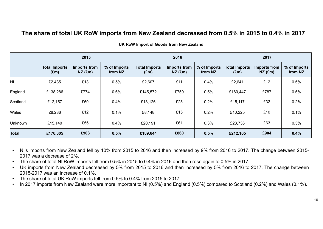#### **The share of total UK RoW imports from New Zealand decreased from 0.5% in 2015 to 0.4% in 2017**

|              |                                       | 2015                      |                         |                                       | 2016                      |                         |                                       | 2017                             |                         |
|--------------|---------------------------------------|---------------------------|-------------------------|---------------------------------------|---------------------------|-------------------------|---------------------------------------|----------------------------------|-------------------------|
|              | <b>Total Imports</b><br>$(\text{Em})$ | Imports from<br>$NZ$ (£m) | % of Imports<br>from NZ | <b>Total Imports</b><br>$(\text{Em})$ | Imports from<br>$NZ$ (£m) | % of Imports<br>from NZ | <b>Total Imports</b><br>$(\text{Em})$ | <b>Imports from</b><br>$NZ$ (£m) | % of Imports<br>from NZ |
| $\mathsf{N}$ | £2,435                                | £13                       | 0.5%                    | £2,607                                | £11                       | 0.4%                    | £2,641                                | £12                              | 0.5%                    |
| England      | £138,286                              | £774                      | 0.6%                    | £145,572                              | £750                      | 0.5%                    | £160,447                              | £787                             | 0.5%                    |
| Scotland     | £12,157                               | £50                       | 0.4%                    | £13,126                               | £23                       | 0.2%                    | £15,117                               | £32                              | 0.2%                    |
| <b>Wales</b> | £8,286                                | £12                       | 0.1%                    | £8,148                                | £15                       | 0.2%                    | £10,225                               | £10                              | 0.1%                    |
| Unknown      | £15,140                               | £55                       | 0.4%                    | £20,191                               | £61                       | 0.3%                    | £23,736                               | £63                              | 0.3%                    |
| Total        | £176,305                              | £903                      | 0.5%                    | £189,644                              | £860                      | 0.5%                    | £212,165                              | £904                             | 0.4%                    |

**UK RoW Import of Goods from New Zealand**

- NI's imports from New Zealand fell by 10% from 2015 to 2016 and then increased by 9% from 2016 to 2017. The change between 2015- 2017 was a decrease of 2%.
- •The share of total NI RoW imports fell from 0.5% in 2015 to 0.4% in 2016 and then rose again to 0.5% in 2017.
- UK imports from New Zealand decreased by 5% from 2015 to 2016 and then increased by 5% from 2016 to 2017. The change between 2015-2017 was an increase of 0.1%.
- •The share of total UK RoW imports fell from 0.5% to 0.4% from 2015 to 2017.
- •In 2017 imports from New Zealand were more important to NI (0.5%) and England (0.5%) compared to Scotland (0.2%) and Wales (0.1%).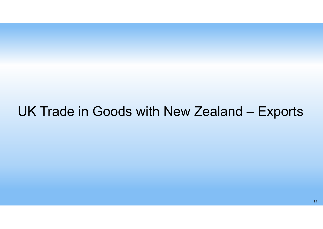## UK Trade in Goods with New Zealand – Exports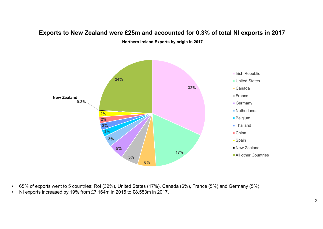

#### **Exports to New Zealand were £25m and accounted for 0.3% of total NI exports in 2017**

**Northern Ireland Exports by origin in 2017** 

- 65% of exports went to 5 countries: RoI (32%), United States (17%), Canada (6%), France (5%) and Germany (5%).
- NI exports increased by 19% from £7,164m in 2015 to £8,553m in 2017.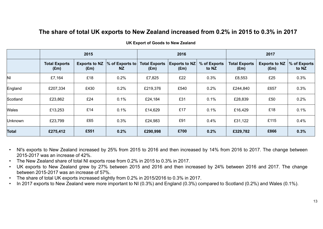#### **The share of total UK exports to New Zealand increased from 0.2% in 2015 to 0.3% in 2017**

|              |                                       | 2015                                  |                                 |                                       | 2016                                  |                       |                                       | 2017                         |                       |
|--------------|---------------------------------------|---------------------------------------|---------------------------------|---------------------------------------|---------------------------------------|-----------------------|---------------------------------------|------------------------------|-----------------------|
|              | <b>Total Exports</b><br>$(\text{Em})$ | <b>Exports to NZ</b><br>$(\text{Em})$ | $\%$ of Exports to<br><b>NZ</b> | <b>Total Exports</b><br>$(\text{Em})$ | <b>Exports to NZ</b><br>$(\text{Em})$ | % of Exports<br>to NZ | <b>Total Exports</b><br>$(\text{Em})$ | <b>Exports to NZ</b><br>(Em) | % of Exports<br>to NZ |
| ΝI           | £7,164                                | £18                                   | 0.2%                            | £7,825                                | £22                                   | 0.3%                  | £8,553                                | £25                          | 0.3%                  |
| England      | £207,334                              | £430                                  | 0.2%                            | £219,376                              | £540                                  | 0.2%                  | £244,840                              | £657                         | 0.3%                  |
| Scotland     | £23,862                               | £24                                   | 0.1%                            | £24,184                               | £31                                   | 0.1%                  | £28,839                               | £50                          | 0.2%                  |
| Wales        | £13,253                               | £14                                   | 0.1%                            | £14,629                               | £17                                   | 0.1%                  | £16,429                               | £18                          | 0.1%                  |
| Unknown      | £23,799                               | £65                                   | 0.3%                            | £24,983                               | £91                                   | 0.4%                  | £31,122                               | £115                         | 0.4%                  |
| <b>Total</b> | £275,412                              | £551                                  | 0.2%                            | £290,998                              | £700                                  | 0.2%                  | £329,782                              | £866                         | 0.3%                  |

**UK Export of Goods to New Zealand**

- • NI's exports to New Zealand increased by 25% from 2015 to 2016 and then increased by 14% from 2016 to 2017. The change between 2015-2017 was an increase of 42%.
- •The New Zealand share of total NI exports rose from 0.2% in 2015 to 0.3% in 2017.
- • UK exports to New Zealand grew by 27% between 2015 and 2016 and then increased by 24% between 2016 and 2017. The change between 2015-2017 was an increase of 57%.
- •The share of total UK exports increased slightly from 0.2% in 2015/2016 to 0.3% in 2017.
- •In 2017 exports to New Zealand were more important to NI (0.3%) and England (0.3%) compared to Scotland (0.2%) and Wales (0.1%).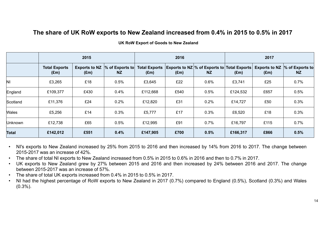#### **The share of UK RoW exports to New Zealand increased from 0.4% in 2015 to 0.5% in 2017**

|              |                                       | 2015                                  |                                 |                                       | 2016 |                                                       | 2017     |               |                                               |  |  |
|--------------|---------------------------------------|---------------------------------------|---------------------------------|---------------------------------------|------|-------------------------------------------------------|----------|---------------|-----------------------------------------------|--|--|
|              | <b>Total Exports</b><br>$(\text{Em})$ | <b>Exports to NZ</b><br>$(\text{Em})$ | $\%$ of Exports to<br><b>NZ</b> | <b>Total Exports</b><br>$(\text{Em})$ | (Em) | Exports to NZ $\%$ of Exports to Total Exports<br>NZ. | (Em)     | $(\text{Em})$ | Exports to NZ $\%$ of Exports to<br><b>NZ</b> |  |  |
| ΝI           | £3,265                                | £18                                   | 0.5%                            | £3,645                                | £22  | 0.6%                                                  | £3,741   | £25           | 0.7%                                          |  |  |
| England      | £109,377                              | £430                                  | 0.4%                            | £112,668                              | £540 | 0.5%                                                  | £124,532 | £657          | 0.5%                                          |  |  |
| Scotland     | £11,376                               | £24                                   | 0.2%                            | £12,820                               | £31  | 0.2%                                                  | £14,727  | £50           | 0.3%                                          |  |  |
| Wales        | £5,256                                | £14                                   | 0.3%                            | £5,777                                | £17  | 0.3%                                                  | £6,520   | £18           | 0.3%                                          |  |  |
| Unknown      | £12,738                               | £65                                   | 0.5%                            | £12,995                               | £91  | 0.7%                                                  | £16,797  | £115          | 0.7%                                          |  |  |
| <b>Total</b> | 0.4%<br>£142,012<br>£551              |                                       |                                 | £147,905                              | £700 | 0.5%                                                  | £166,317 | £866          | 0.5%                                          |  |  |

#### **UK RoW Export of Goods to New Zealand**

- • NI's exports to New Zealand increased by 25% from 2015 to 2016 and then increased by 14% from 2016 to 2017. The change between 2015-2017 was an increase of 42%.
- •The share of total NI exports to New Zealand increased from 0.5% in 2015 to 0.6% in 2016 and then to 0.7% in 2017.
- • UK exports to New Zealand grew by 27% between 2015 and 2016 and then increased by 24% between 2016 and 2017. The change between 2015-2017 was an increase of 57%.
- •The share of total UK exports increased from 0.4% in 2015 to 0.5% in 2017.
- • NI had the highest percentage of RoW exports to New Zealand in 2017 (0.7%) compared to England (0.5%), Scotland (0.3%) and Wales (0.3%).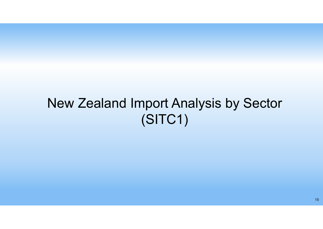# New Zealand Import Analysis by Sector (SITC1)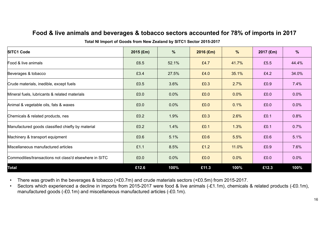#### **Food & live animals and beverages & tobacco sectors accounted for 78% of imports in 2017**

| <b>SITC1 Code</b>                                      | $2015$ (£m) | %     | $2016$ (£m) | $\%$  | $2017$ (£m) | %     |
|--------------------------------------------------------|-------------|-------|-------------|-------|-------------|-------|
| Food & live animals                                    | £6.5        | 52.1% | £4.7        | 41.7% | £5.5        | 44.4% |
| Beverages & tobacco                                    | £3.4        | 27.5% | £4.0        | 35.1% | £4.2        | 34.0% |
| Crude materials, inedible, except fuels                | £0.5        | 3.6%  | £0.3        | 2.7%  | £0.9        | 7.4%  |
| Mineral fuels, lubricants & related materials          | £0.0        | 0.0%  | £0.0        | 0.0%  | £0.0        | 0.0%  |
| Animal & vegetable oils, fats & waxes                  | £0.0        | 0.0%  | £0.0        | 0.1%  | £0.0        | 0.0%  |
| Chemicals & related products, nes                      | £0.2        | 1.9%  | £0.3        | 2.6%  | £0.1        | 0.8%  |
| Manufactured goods classified chiefly by material      | £0.2        | 1.4%  | £0.1        | 1.3%  | £0.1        | 0.7%  |
| Machinery & transport equipment                        | £0.6        | 5.1%  | £0.6        | 5.5%  | £0.6        | 5.1%  |
| Miscellaneous manufactured articles                    | £1.1        | 8.5%  | £1.2        | 11.0% | £0.9        | 7.6%  |
| Commodities/transactions not class'd elsewhere in SITC | £0.0        | 0.0%  | £0.0        | 0.0%  | £0.0        | 0.0%  |
| <b>Total</b>                                           | £12.6       | 100%  | £11.3       | 100%  | £12.3       | 100%  |

**Total NI Import of Goods from New Zealand by SITC1 Sector 2015-2017**

•There was growth in the beverages & tobacco (+£0.7m) and crude materials sectors (+£0.5m) from 2015-2017.

• Sectors which experienced a decline in imports from 2015-2017 were food & live animals (-£1.1m), chemicals & related products (-£0.1m), manufactured goods (-£0.1m) and miscellaneous manufactured articles (-£0.1m).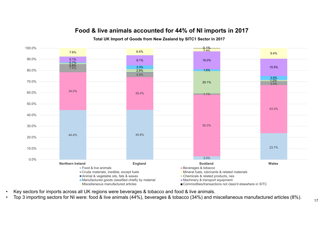### **Food & live animals accounted for 44% of NI imports in 2017**

#### **Total UK Import of Goods from New Zealand by SITC1 Sector in 2017**



- Key sectors for imports across all UK regions were beverages & tobacco and food & live animals.
- Top 3 importing sectors for NI were: food & live animals (44%), beverages & tobacco (34%) and miscellaneous manufactured articles (8%).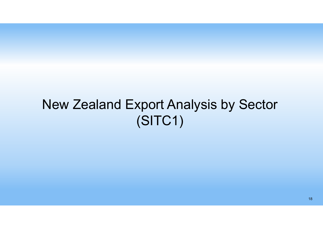# New Zealand Export Analysis by Sector (SITC1)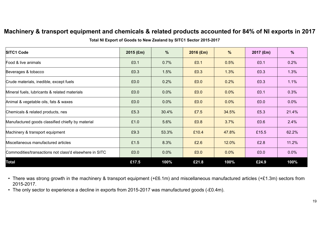#### **Machinery & transport equipment and chemicals & related products accounted for 84% of NI exports in 2017**

**Total NI Export of Goods to New Zealand by SITC1 Sector 2015-2017**

| <b>SITC1 Code</b>                                      | $2015$ (£m) | %     | $2016$ (£m) | $\%$    | 2017 (£m) | $\frac{9}{6}$ |
|--------------------------------------------------------|-------------|-------|-------------|---------|-----------|---------------|
| Food & live animals                                    | £0.1        | 0.7%  | £0.1        | 0.5%    | £0.1      | 0.2%          |
| Beverages & tobacco                                    | £0.3        | 1.5%  | £0.3        | 1.3%    | £0.3      | 1.3%          |
| Crude materials, inedible, except fuels                | £0.0        | 0.2%  | £0.0        | 0.2%    | £0.3      | 1.1%          |
| Mineral fuels, lubricants & related materials          | £0.0        | 0.0%  | £0.0        | 0.0%    | £0.1      | 0.3%          |
| Animal & vegetable oils, fats & waxes                  | £0.0        | 0.0%  | £0.0        | 0.0%    | £0.0      | 0.0%          |
| Chemicals & related products, nes                      | £5.3        | 30.4% | £7.5        | 34.5%   | £5.3      | 21.4%         |
| Manufactured goods classified chiefly by material      | £1.0        | 5.6%  | £0.8        | 3.7%    | £0.6      | 2.4%          |
| Machinery & transport equipment                        | £9.3        | 53.3% | £10.4       | 47.8%   | £15.5     | 62.2%         |
| Miscellaneous manufactured articles                    | £1.5        | 8.3%  | £2.6        | 12.0%   | £2.8      | 11.2%         |
| Commodities/transactions not class'd elsewhere in SITC | £0.0        | 0.0%  | £0.0        | $0.0\%$ | £0.0      | $0.0\%$       |
| <b>Total</b>                                           | £17.5       | 100%  | £21.8       | 100%    | £24.9     | 100%          |

• There was strong growth in the machinery & transport equipment (+£6.1m) and miscellaneous manufactured articles (+£1.3m) sectors from 2015-2017.

• The only sector to experience a decline in exports from 2015-2017 was manufactured goods (-£0.4m).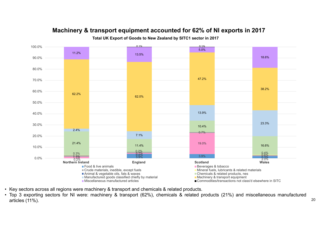

### **Machinery & transport equipment accounted for 62% of NI exports in 2017**

**Total UK Export of Goods to New Zealand by SITC1 sector in 2017**

• Key sectors across all regions were machinery & transport and chemicals & related products.

• Top 3 exporting sectors for NI were: machinery & transport (62%), chemicals & related products (21%) and miscellaneous manufactured articles (11%). 20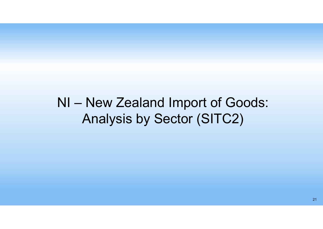## NI – New Zealand Import of Goods: Analysis by Sector (SITC2)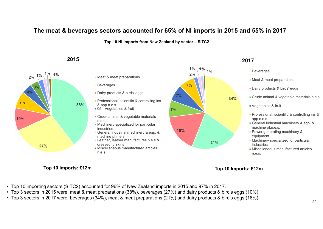#### **The meat & beverages sectors accounted for 65% of NI imports in 2015 and 55% in 2017**

**Top 10 NI Imports from New Zealand by sector – SITC2** 

#### **2015**





Crude animal & vegetable materials n.e.s.  $\blacksquare$  Machinery specialized for particular

n.e.s.

**Top 10 Imports: £12m Top 10 Imports: £12m** 

- Top 10 importing sectors (SITC2) accounted for 96% of New Zealand imports in 2015 and 97% in 2017.
- Top 3 sectors in 2015 were: meat & meat preparations (38%), beverages (27%) and dairy products & bird's eggs (10%).
- Top 3 sectors in 2017 were: beverages (34%), meat & meat preparations (21%) and dairy products & bird's eggs (16%).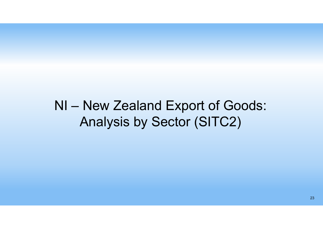## NI – New Zealand Export of Goods: Analysis by Sector (SITC2)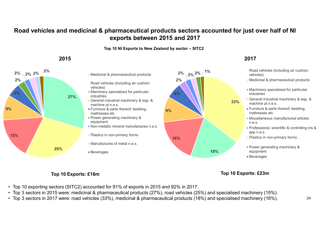### **Road vehicles and medicinal & pharmaceutical products sectors accounted for just over half of NI exports between 2015 and 2017**

**Top 10 NI Exports to New Zealand by sector – SITC2** 



**9%**

#### **Top 10 Exports: £16m Top 10 Exports: £23m**

- Top 10 exporting sectors (SITC2) accounted for 91% of exports in 2015 and 92% in 2017.
- Top 3 sectors in 2015 were: medicinal & pharmaceutical products (27%), road vehicles (25%) and specialised machinery (15%).
- Top 3 sectors in 2017 were: road vehicles (33%), medicinal & pharmaceutical products (18%) and specialised machinery (16%). 24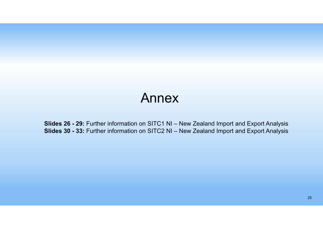### Annex

**Slides 26 - 29:** Further information on SITC1 NI – New Zealand Import and Export Analysis **Slides 30 - 33:** Further information on SITC2 NI – New Zealand Import and Export Analysis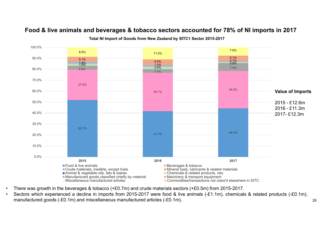#### **Food & live animals and beverages & tobacco sectors accounted for 78% of NI imports in 2017**



**Total NI Import of Goods from New Zealand by SITC1 Sector 2015-2017**

- There was growth in the beverages & tobacco (+£0.7m) and crude materials sectors (+£0.5m) from 2015-2017.
- Sectors which experienced a decline in imports from 2015-2017 were food & live animals (-£1.1m), chemicals & related products (-£0.1m), manufactured goods (-£0.1m) and miscellaneous manufactured articles (-£0.1m).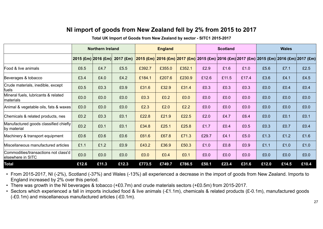### **NI import of goods from New Zealand fell by 2% from 2015 to 201 7**

#### **Total UK Import of Goods from New Zealand by sector - SITC1 2015-2017**

|                                                           |                     | <b>Northern Ireland</b> |             |        | <b>England</b> |        |                                                                                           | <b>Scotland</b> |       |       | <b>Wales</b> |       |
|-----------------------------------------------------------|---------------------|-------------------------|-------------|--------|----------------|--------|-------------------------------------------------------------------------------------------|-----------------|-------|-------|--------------|-------|
|                                                           | 2015 (£m) 2016 (£m) |                         | $2017$ (£m) |        |                |        | 2015 (£m) 2016 (£m) 2017 (£m) 2015 (£m) 2016 (£m) 2017 (£m) 2015 (£m) 2016 (£m) 2017 (£m) |                 |       |       |              |       |
| Food & live animals                                       | £6.5                | £4.7                    | £5.5        | £392.7 | £355.0         | £352.1 | £2.9                                                                                      | £1.6            | £1.0  | £5.6  | £7.1         | £2.5  |
| Beverages & tobacco                                       | £3.4                | £4.0                    | £4.2        | £184.1 | £207.6         | £230.9 | £12.6                                                                                     | £11.5           | £17.4 | £3.6  | £4.1         | £4.5  |
| Crude materials, inedible, except<br>fuels                | £0.5                | £0.3                    | £0.9        | £31.6  | £32.9          | £31.4  | £0.3                                                                                      | £0.3            | £0.3  | £0.0  | £0.4         | £0.4  |
| Mineral fuels, lubricants & related<br>materials          | £0.0                | £0.0                    | £0.0        | £0.3   | £0.2           | £0.0   | £0.0                                                                                      | £0.0            | £0.0  | £0.0  | £0.0         | £0.0  |
| Animal & vegetable oils, fats & waxes                     | £0.0                | £0.0                    | £0.0        | £2.3   | £2.0           | £2.2   | £0.0                                                                                      | £0.0            | £0.0  | £0.0  | £0.0         | £0.0  |
| Chemicals & related products, nes                         | £0.2                | £0.3                    | £0.1        | £22.8  | £21.9          | £22.5  | £2.0                                                                                      | £4.7            | £6.4  | £0.0  | £0.1         | £0.1  |
| Manufactured goods classified chiefly<br>by material      | £0.2                | £0.1                    | £0.1        | £34.8  | £25.1          | £25.8  | £1.7                                                                                      | £0.4            | £0.5  | £0.3  | £0.7         | £0.4  |
| Machinery & transport equipment                           | £0.6                | £0.6                    | £0.6        | £61.6  | £67.8          | £71.3  | £29.7                                                                                     | £4.1            | £5.0  | £1.3  | £1.2         | £1.6  |
| Miscellaneous manufactured articles                       | £1.1                | £1.2                    | £0.9        | £43.2  | £36.9          | £50.3  | £1.0                                                                                      | £0.8            | £0.9  | £1.1  | £1.0         | £1.0  |
| Commodities/transactions not class'd<br>elsewhere in SITC | £0.0                | £0.0                    | £0.0        | £0.0   | £0.4           | £0.1   | £0.0                                                                                      | £0.0            | £0.0  | £0.0  | £0.0         | £0.0  |
| <b>Total</b>                                              | £12.6               | £11.3                   | £12.3       | £773.5 | £749.7         | £786.5 | £50.1                                                                                     | £23.4           | £31.6 | £12.0 | £14.5        | £10.4 |

• From 2015-2017, NI (-2%), Scotland (-37%) and Wales (-13%) all experienced a decrease in the import of goods from New Zealand. Imports to England increased by 2% over this period.

• There was growth in the NI beverages & tobacco (+£0.7m) and crude materials sectors (+£0.5m) from 2015-2017.

• Sectors which experienced a fall in imports included food & live animals (-£1.1m), chemicals & related products (£-0.1m), manufactured goods (-£0.1m) and miscellaneous manufactured articles (-£0.1m).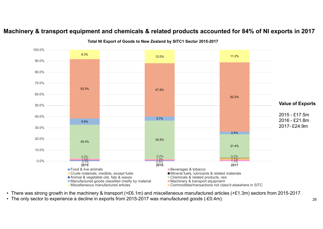### **Machinery & transport equipment and chemicals & related products accounted for 84% of NI exports in 2017**



**Total NI Export of Goods to New Zealand by SITC1 Sector 2015-2017**

- There was strong growth in the machinery & transport (+£6.1m) and miscellaneous manufactured articles (+£1.3m) sectors from 2015-2017.
- The only sector to experience a decline in exports from 2015-2017 was manufactured goods (-£0.4m).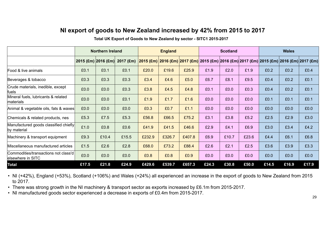#### **NI export of goods to New Zealand increased by 42% from 2015 to 2017**

#### **Total UK Export of Goods to New Zealand by sector - SITC1 2015-2017**

|                                                           |                     | <b>Northern Ireland</b> |             |        | <b>England</b> |        |       | <b>Scotland</b> |       |                                                                                                                  | <b>Wales</b> |       |  |
|-----------------------------------------------------------|---------------------|-------------------------|-------------|--------|----------------|--------|-------|-----------------|-------|------------------------------------------------------------------------------------------------------------------|--------------|-------|--|
|                                                           | 2015 (£m) 2016 (£m) |                         | $2017$ (£m) |        |                |        |       |                 |       | <mark> 2015 (£m)  </mark> 2016 (£m)  2017 (£m)  2015 (£m)  2016 (£m)  2017 (£m)  2015 (£m)  2016 (£m)  2017 (£m) |              |       |  |
| Food & live animals                                       | £0.1                | £0.1                    | £0.1        | £20.0  | £19.6          | £25.9  | £1.9  | £2.0            | £1.9  | £0.2                                                                                                             | £0.2         | £0.4  |  |
| Beverages & tobacco                                       | £0.3                | £0.3                    | £0.3        | £3.4   | £4.6           | £5.0   | £6.7  | £8.1            | £9.5  | £0.4                                                                                                             | £0.2         | £0.1  |  |
| Crude materials, inedible, except<br>fuels                | £0.0                | £0.0                    | £0.3        | £3.8   | £4.5           | £4.8   | £0.1  | £0.0            | £0.3  | £0.4                                                                                                             | £0.2         | £0.1  |  |
| Mineral fuels, lubricants & related<br>materials          | £0.0                | £0.0                    | £0.1        | £1.9   | £1.7           | £1.6   | £0.0  | £0.0            | £0.0  | £0.1                                                                                                             | £0.1         | £0.1  |  |
| Animal & vegetable oils, fats & waxes                     | £0.0                | £0.0                    | £0.0        | £0.3   | £0.7           | £1.1   | £0.0  | £0.0            | £0.0  | £0.0                                                                                                             | £0.0         | £0.0  |  |
| Chemicals & related products, nes                         | £5.3                | £7.5                    | £5.3        | £56.8  | £66.5          | £75.2  | £3.1  | £3.8            | £5.2  | £2.5                                                                                                             | £2.9         | £3.0  |  |
| Manufactured goods classified chiefly<br>by material      | £1.0                | £0.8                    | £0.6        | £41.9  | £41.5          | £46.6  | £2.9  | £4.1            | £6.9  | £3.0                                                                                                             | £3.4         | £4.2  |  |
| Machinery & transport equipment                           | £9.3                | £10.4                   | £15.5       | £232.9 | £326.7         | £407.8 | £6.9  | £10.7           | £23.6 | £4.4                                                                                                             | £6.1         | £6.8  |  |
| Miscellaneous manufactured articles                       | £1.5                | £2.6                    | £2.8        | £68.0  | £73.2          | £88.4  | £2.6  | £2.1            | £2.5  | £3.6                                                                                                             | £3.9         | £3.3  |  |
| Commodities/transactions not class'd<br>elsewhere in SITC | £0.0                | £0.0                    | £0.0        | £0.8   | £0.8           | £0.9   | £0.0  | £0.0            | £0.0  | £0.0                                                                                                             | £0.0         | £0.0  |  |
| Total                                                     | £17.5               | £21.8                   | £24.9       | £429.6 | £539.7         | £657.3 | £24.3 | £30.8           | £50.0 | £14.5                                                                                                            | £16.9        | £17.9 |  |

• NI (+42%), England (+53%), Scotland (+106%) and Wales (+24%) all experienced an increase in the export of goods to New Zealand from 2015 to 2017.

• There was strong growth in the NI machinery & transport sector as exports increased by £6.1m from 2015-2017.

• NI manufactured goods sector experienced a decrease in exports of £0.4m from 2015-2017.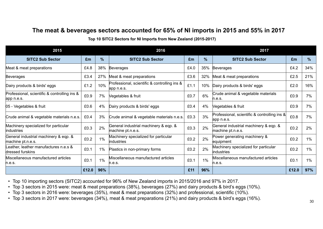#### **The meat & beverages sectors accounted for 65% of NI imports in 2015 and 55% in 2017**

**Top 10 SITC2 Sectors for NI Imports from New Zealand (2015-2017)** 

| 2015                                                       |       |       | 2016                                                       |      | 2017 |                                                            |       |               |  |
|------------------------------------------------------------|-------|-------|------------------------------------------------------------|------|------|------------------------------------------------------------|-------|---------------|--|
| <b>SITC2 Sub Sector</b>                                    | £m    | %     | <b>SITC2 Sub Sector</b>                                    | £m   | %    | <b>SITC2 Sub Sector</b>                                    | £m    | $\frac{9}{6}$ |  |
| Meat & meat preparations                                   | £4.8  | 38%   | Beverages                                                  | £4.0 | 35%  | Beverages                                                  | £4.2  | 34%           |  |
| <b>Beverages</b>                                           | £3.4  | 27%   | Meat & meat preparations                                   | £3.6 | 32%  | Meat & meat preparations                                   | £2.5  | 21%           |  |
| Dairy products & birds' eggs                               | £1.2  | 10%   | Professional, scientific & controlling ins &<br>app n.e.s. | £1.1 | 10%  | Dairy products & birds' eggs                               | £2.0  | 16%           |  |
| Professional, scientific & controlling ins &<br>app n.e.s. | £0.9  | 7%    | Vegetables & fruit                                         | £0.7 | 6%   | Crude animal & vegetable materials<br>n.e.s.               | £0.9  | 7%            |  |
| 05 - Vegetables & fruit                                    | £0.6  | 4%    | Dairy products & birds' eggs                               | £0.4 | 4%   | Vegetables & fruit                                         | £0.9  | 7%            |  |
| Crude animal & vegetable materials n.e.s.                  | £0.4  | 3%    | Crude animal & vegetable materials n.e.s.                  | £0.3 | 3%   | Professional, scientific & controlling ins &<br>app n.e.s. | £0.8  | 7%            |  |
| Machinery specialized for particular<br>industries         | £0.3  | 2%    | General industrial machinery & eqp. &<br>machine pt.n.e.s. | £0.3 | 2%   | General industrial machinery & eqp. &<br>machine pt.n.e.s. | £0.2  | 2%            |  |
| General industrial machinery & eqp. &<br>machine pt.n.e.s. | £0.2  | $1\%$ | Machinery specialized for particular<br>industries         | £0.2 | 2%   | Power generating machinery &<br>equipment                  | £0.2  | $1\%$         |  |
| Leather, leather manufactures n.e.s &<br>dressed furskins  | £0.1  | $1\%$ | Plastics in non-primary forms                              | £0.2 | 2%   | Machinery specialized for particular<br><i>industries</i>  | £0.2  | $1\%$         |  |
| Miscellaneous manufactured articles<br>n.e.s.              | £0.1  | 1%    | Miscellaneous manufactured articles<br>n.e.s.              | £0.1 | 1%   | Miscellaneous manufactured articles<br>n.e.s.              | £0.1  | 1%            |  |
|                                                            | £12.0 | 96%   |                                                            | £11  | 96%  |                                                            | £12.0 | 97%           |  |

• Top 10 importing sectors (SITC2) accounted for 96% of New Zealand imports in 2015/2016 and 97% in 2017.

• Top 3 sectors in 2015 were: meat & meat preparations (38%), beverages (27%) and dairy products & bird's eggs (10%).

• Top 3 sectors in 2016 were: beverages (35%), meat & meat preparations (32%) and professional, scientific (10%).

• Top 3 sectors in 2017 were: beverages (34%), meat & meat preparations (21%) and dairy products & bird's eggs (16%).  $\frac{30}{30}$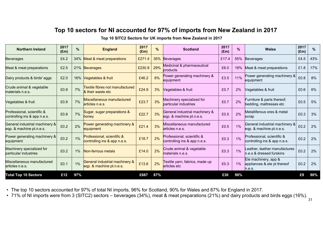### **Top 10 sectors for NI accounted for 97% of imports from New Zealand in 2017**

**Top 10 SITC2 Sectors for UK imports from New Zealand in 2017** 

| <b>Northern Ireland</b>                                    | 2017<br>%<br><b>England</b><br>$(\text{Em})$ |       |                                                            | 2017<br>$(\text{Em})$ | %<br><b>Scotland</b> |                                                            | 2017<br>$(\text{Em})$ | $\%$  | <b>Wales</b>                                                  | 2017<br>(Em) | $\frac{0}{0}$ |
|------------------------------------------------------------|----------------------------------------------|-------|------------------------------------------------------------|-----------------------|----------------------|------------------------------------------------------------|-----------------------|-------|---------------------------------------------------------------|--------------|---------------|
| <b>Beverages</b>                                           | £4.2                                         | 34%   | Meat & meat preparations                                   | £271.4                |                      | 35% Beverages                                              | £17.4                 | 55%   | <b>Beverages</b>                                              | £4.5         | 43%           |
| Meat & meat preparations                                   | £2.5                                         |       | 21% Beverages                                              | £230.9                | 29%                  | Medicinal & pharmaceutical<br>products                     | £6.0                  | 19%   | Meat & meat preparations                                      | £1.8         | 17%           |
| Dairy products & birds' eggs                               | £2.0                                         | 16%   | Vegetables & fruit                                         | £46.2                 | 6%                   | Power generating machinery &<br>equipment                  | £3.5                  | 11%   | Power generating machinery &<br>equipment                     | £0.8         | 8%            |
| Crude animal & vegetable<br>materials n.e.s.               | £0.9                                         | 7%    | Textile fibres not manufactured<br>& their waste etc       | £24.9                 | 3%                   | Vegetables & fruit                                         | £0.7                  | 2%    | Vegetables & fruit                                            | £0.6         | 6%            |
| Vegetables & fruit                                         | £0.9                                         | 7%    | Miscellaneous manufactured<br>articles n.e.s.              | £23.7                 | 3%                   | Machinery specialized for<br>particular industries         | £0.7                  | 2%    | Furniture & parts thereof;<br>bedding, mattresses etc         | £0.5         | 5%            |
| Professional, scientific &<br>controlling ins & app n.e.s. | £0.8                                         | 7%    | Sugar, sugar preparations &<br>honey                       | £22.7                 | 3%                   | General industrial machinery &<br>eqp. & machine pt.n.e.s. | £0.5                  | 2%    | Metalliferous ores & metal<br>scrap                           | £0.3         | 3%            |
| General industrial machinery &<br>eqp. & machine pt.n.e.s. | £0.2                                         | 2%    | Power generating machinery &<br>equipment                  | £21.4                 | 3%                   | Miscellaneous manufactured<br>articles n.e.s.              | £0.5                  | 1%    | General industrial machinery &<br>eqp. & machine pt.n.e.s.    | £0.2         | 2%            |
| Power generating machinery &<br>equipment                  | £0.2                                         | 1%    | Professional, scientific &<br>controlling ins & app n.e.s. | £18.7                 | 2%                   | Professional, scientific &<br>controlling ins & app n.e.s. | £0.3                  | 1%    | Professional, scientific &<br>controlling ins & app n.e.s.    | £0.2         | 2%            |
| Machinery specialized for<br>barticular industries         | £0.2                                         | $1\%$ | Non-ferrous metals                                         | £14.0                 | 2%                   | Crude animal & vegetable<br>materials n.e.s.               | £0.3                  | $1\%$ | Leather, leather manufactures<br>n.e.s & dressed furskins     | £0.2         | 2%            |
| Miscellaneous manufactured<br>articles n.e.s.              | £0.1                                         | 1%    | General industrial machinery &<br>eqp. & machine pt.n.e.s. | £13.6                 | 2%                   | Textile yarn, fabrics, made up<br>articles etc             | £0.3                  | $1\%$ | Ele machinery, app &<br>appliances & ele pt thereof<br>n.e.s. | £0.2         | 2%            |
| <b>Total Top 10 Sectors</b>                                | £12                                          | 97%   |                                                            | £687                  | 87%                  |                                                            | £30                   | 96%   |                                                               | £9           | 90%           |

• The top 10 sectors accounted for 97% of total NI imports, 96% for Scotland, 90% for Wales and 87% for England in 2017.

• 71% of NI imports were from 3 (SITC2) sectors – beverages (34%), meat & meat preparations (21%) and dairy products and birds eggs (16%).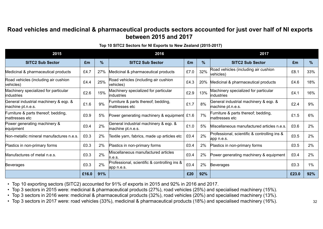#### **Road vehicles and medicinal & pharmaceutical products sectors accounted for just over half of NI exports between 2015 and 2017**

#### **Top 10 SITC2 Sectors for NI Exports to New Zealand (2015-2017)**

| 2015                                                       |       |               | 2016                                                       |      | 2017          |                                                            |       |               |  |  |
|------------------------------------------------------------|-------|---------------|------------------------------------------------------------|------|---------------|------------------------------------------------------------|-------|---------------|--|--|
| <b>SITC2 Sub Sector</b>                                    | £m    | $\frac{9}{6}$ | <b>SITC2 Sub Sector</b>                                    | £m   | $\frac{9}{6}$ | <b>SITC2 Sub Sector</b>                                    | £m    | $\frac{9}{6}$ |  |  |
| Medicinal & pharmaceutical products                        | £4.7  | 27%           | Medicinal & pharmaceutical products                        | £7.0 | 32%           | Road vehicles (including air cushion<br>vehicles)          | £8.1  | 33%           |  |  |
| Road vehicles (including air cushion<br>vehicles)          | £4.4  | 25%           | Road vehicles (including air cushion<br>vehicles)          | £4.3 | 20%           | Medicinal & pharmaceutical products                        | £4.6  | 18%           |  |  |
| Machinery specialized for particular<br>industries         | £2.6  | 15%           | Machinery specialized for particular<br><i>industries</i>  | £2.9 | 13%           | Machinery specialized for particular<br>industries         | £4.1  | 16%           |  |  |
| General industrial machinery & eqp. &<br>machine pt.n.e.s. | £1.6  | 9%            | Furniture & parts thereof; bedding,<br>mattresses etc      | £1.7 | 8%            | General industrial machinery & eqp. &<br>machine pt.n.e.s. | £2.4  | 9%            |  |  |
| Furniture & parts thereof; bedding,<br>mattresses etc      | £0.9  | 5%            | Power generating machinery & equipment £1.6                |      | 7%            | Furniture & parts thereof; bedding,<br>mattresses etc      | £1.5  | 6%            |  |  |
| Power generating machinery &<br>equipment                  | £0.4  | 2%            | General industrial machinery & eqp. &<br>machine pt.n.e.s. | £1.0 | 5%            | Miscellaneous manufactured articles n.e.s.                 | £0.6  | 2%            |  |  |
| Non-metallic mineral manufactures n.e.s.                   | £0.3  | 2%            | Textile yarn, fabrics, made up articles etc                | £0.4 | 2%            | Professional, scientific & controlling ins &<br>app n.e.s. | £0.5  | 2%            |  |  |
| Plastics in non-primary forms                              | £0.3  | 2%            | Plastics in non-primary forms                              | £0.4 | 2%            | Plastics in non-primary forms                              | £0.5  | 2%            |  |  |
| Manufactures of metal n.e.s.                               | £0.3  | 2%            | Miscellaneous manufactured articles<br>n.e.s.              | £0.4 | 2%            | Power generating machinery & equipment                     | £0.4  | 2%            |  |  |
| <b>Beverages</b>                                           | £0.3  | 2%            | Professional, scientific & controlling ins &<br>app n.e.s. | £0.4 | 2%            | <b>Beverages</b>                                           | £0.3  | $1\%$         |  |  |
|                                                            | £16.0 | 91%           |                                                            | £20  | 92%           |                                                            | £23.0 | 92%           |  |  |

• Top 10 exporting sectors (SITC2) accounted for 91% of exports in 2015 and 92% in 2016 and 2017.

• Top 3 sectors in 2015 were: medicinal & pharmaceutical products (27%), road vehicles (25%) and specialised machinery (15%).

• Top 3 sectors in 2016 were: medicinal & pharmaceutical products (32%), road vehicles (20%) and specialised machinery (13%).

• Top 3 sectors in 2017 were: road vehicles (33%), medicinal & pharmaceutical products (18%) and specialised machinery (16%).